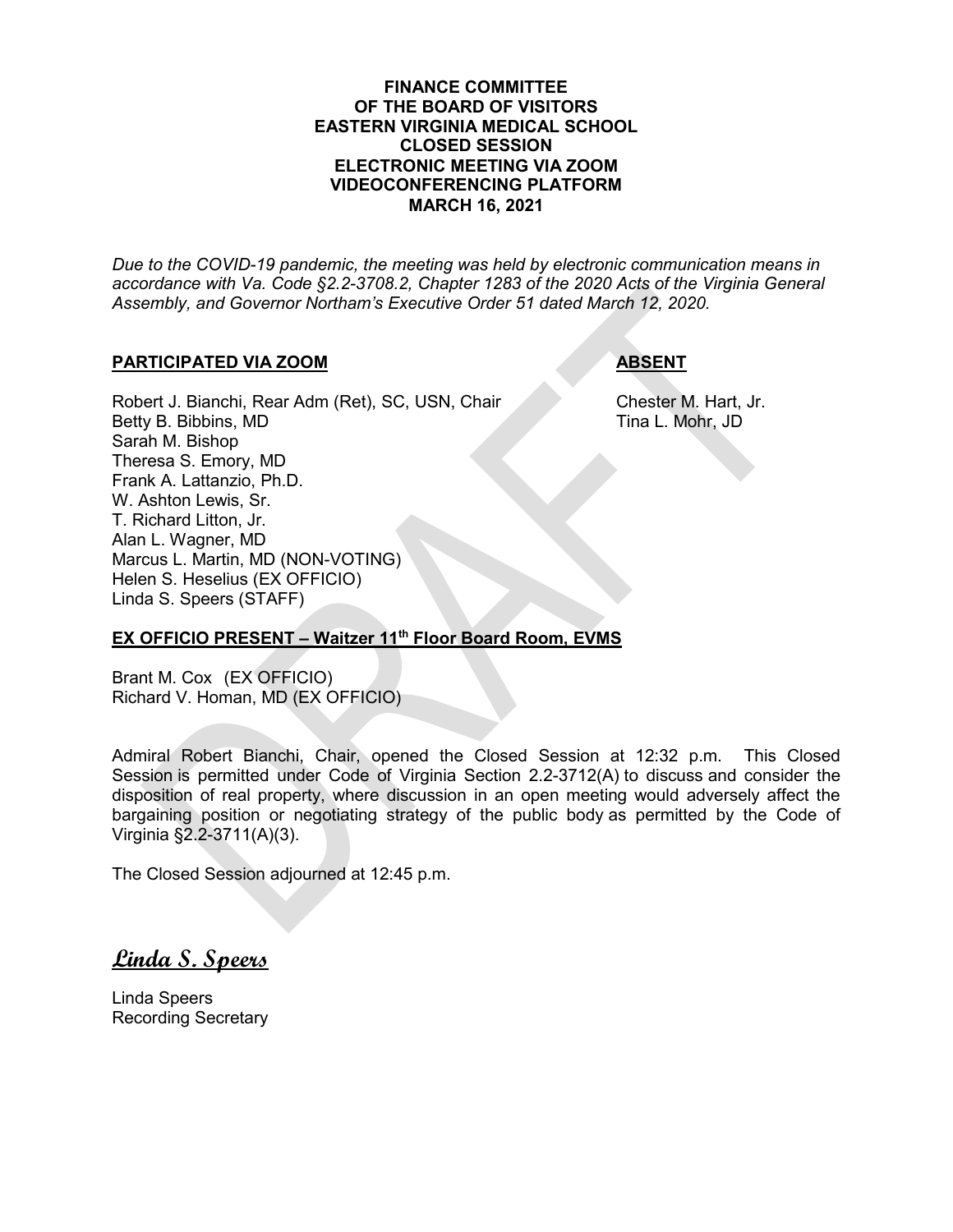#### **FINANCE COMMITTEE OF THE BOARD OF VISITORS EASTERN VIRGINIA MEDICAL SCHOOL CLOSED SESSION ELECTRONIC MEETING VIA ZOOM VIDEOCONFERENCING PLATFORM MARCH 16, 2021**

*Due to the COVID-19 pandemic, the meeting was held by electronic communication means in accordance with Va. Code §2.2-3708.2, Chapter 1283 of the 2020 Acts of the Virginia General Assembly, and Governor Northam's Executive Order 51 dated March 12, 2020.*

#### **PARTICIPATED VIA ZOOM ABSENT**

Robert J. Bianchi, Rear Adm (Ret), SC, USN, Chair Chester M. Hart, Jr. Betty B. Bibbins, MD Tina L. Mohr, JD Sarah M. Bishop Theresa S. Emory, MD Frank A. Lattanzio, Ph.D. W. Ashton Lewis, Sr. T. Richard Litton, Jr. Alan L. Wagner, MD Marcus L. Martin, MD (NON-VOTING) Helen S. Heselius (EX OFFICIO) Linda S. Speers (STAFF)

### **EX OFFICIO PRESENT – Waitzer 11th Floor Board Room, EVMS**

Brant M. Cox (EX OFFICIO) Richard V. Homan, MD (EX OFFICIO)

Admiral Robert Bianchi, Chair, opened the Closed Session at 12:32 p.m. This Closed Session is permitted under Code of Virginia Section 2.2-3712(A) to discuss and consider the disposition of real property, where discussion in an open meeting would adversely affect the bargaining position or negotiating strategy of the public body as permitted by the Code of Virginia §2.2-3711(A)(3).

The Closed Session adjourned at 12:45 p.m.

**Linda S. Speers**

Linda Speers Recording Secretary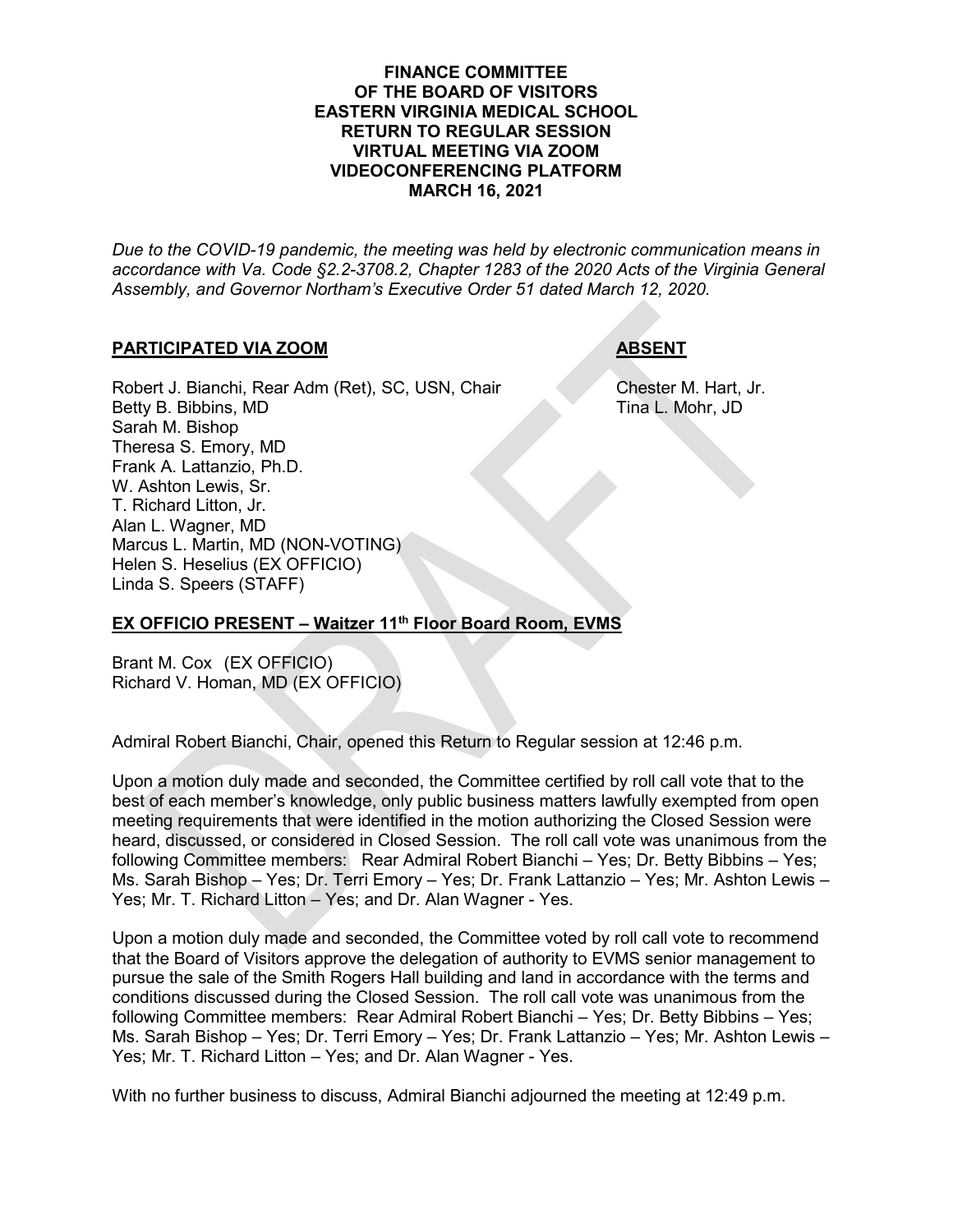#### **FINANCE COMMITTEE OF THE BOARD OF VISITORS EASTERN VIRGINIA MEDICAL SCHOOL RETURN TO REGULAR SESSION VIRTUAL MEETING VIA ZOOM VIDEOCONFERENCING PLATFORM MARCH 16, 2021**

*Due to the COVID-19 pandemic, the meeting was held by electronic communication means in accordance with Va. Code §2.2-3708.2, Chapter 1283 of the 2020 Acts of the Virginia General Assembly, and Governor Northam's Executive Order 51 dated March 12, 2020.*

### **PARTICIPATED VIA ZOOM ABSENT**

Robert J. Bianchi, Rear Adm (Ret), SC, USN, Chair Chester M. Hart, Jr. Betty B. Bibbins, MD Tina L. Mohr, JD Sarah M. Bishop Theresa S. Emory, MD Frank A. Lattanzio, Ph.D. W. Ashton Lewis, Sr. T. Richard Litton, Jr. Alan L. Wagner, MD Marcus L. Martin, MD (NON-VOTING) Helen S. Heselius (EX OFFICIO) Linda S. Speers (STAFF)

### **EX OFFICIO PRESENT – Waitzer 11th Floor Board Room, EVMS**

Brant M. Cox (EX OFFICIO) Richard V. Homan, MD (EX OFFICIO)

Admiral Robert Bianchi, Chair, opened this Return to Regular session at 12:46 p.m.

Upon a motion duly made and seconded, the Committee certified by roll call vote that to the best of each member's knowledge, only public business matters lawfully exempted from open meeting requirements that were identified in the motion authorizing the Closed Session were heard, discussed, or considered in Closed Session. The roll call vote was unanimous from the following Committee members: Rear Admiral Robert Bianchi – Yes; Dr. Betty Bibbins – Yes; Ms. Sarah Bishop – Yes; Dr. Terri Emory – Yes; Dr. Frank Lattanzio – Yes; Mr. Ashton Lewis – Yes; Mr. T. Richard Litton – Yes; and Dr. Alan Wagner - Yes.

Upon a motion duly made and seconded, the Committee voted by roll call vote to recommend that the Board of Visitors approve the delegation of authority to EVMS senior management to pursue the sale of the Smith Rogers Hall building and land in accordance with the terms and conditions discussed during the Closed Session. The roll call vote was unanimous from the following Committee members: Rear Admiral Robert Bianchi – Yes; Dr. Betty Bibbins – Yes; Ms. Sarah Bishop – Yes; Dr. Terri Emory – Yes; Dr. Frank Lattanzio – Yes; Mr. Ashton Lewis – Yes; Mr. T. Richard Litton – Yes; and Dr. Alan Wagner - Yes.

With no further business to discuss, Admiral Bianchi adjourned the meeting at 12:49 p.m.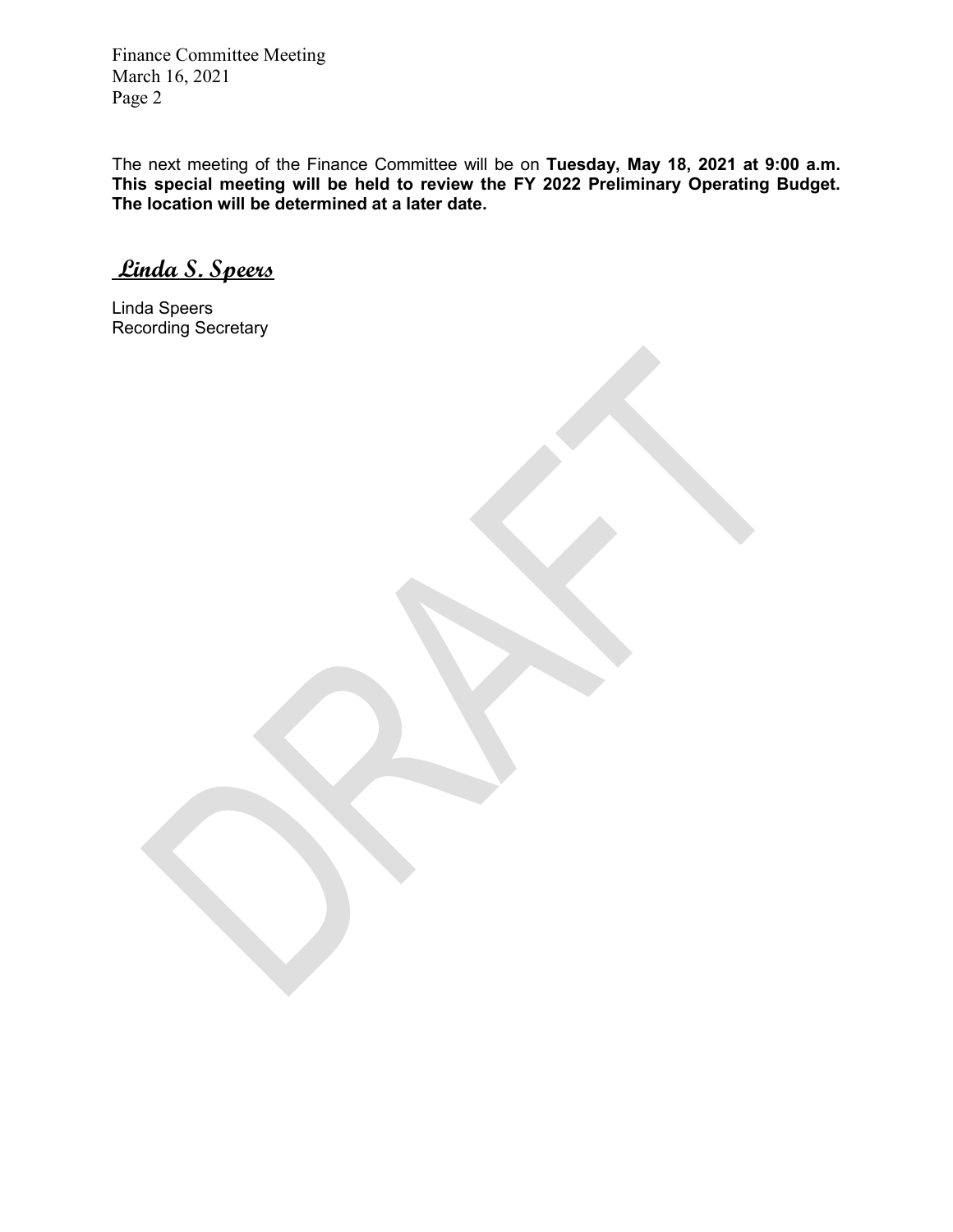The next meeting of the Finance Committee will be on **Tuesday, May 18, 2021 at 9:00 a.m. This special meeting will be held to review the FY 2022 Preliminary Operating Budget. The location will be determined at a later date.**

**Linda S. Speers**

Linda Speers Recording Secretary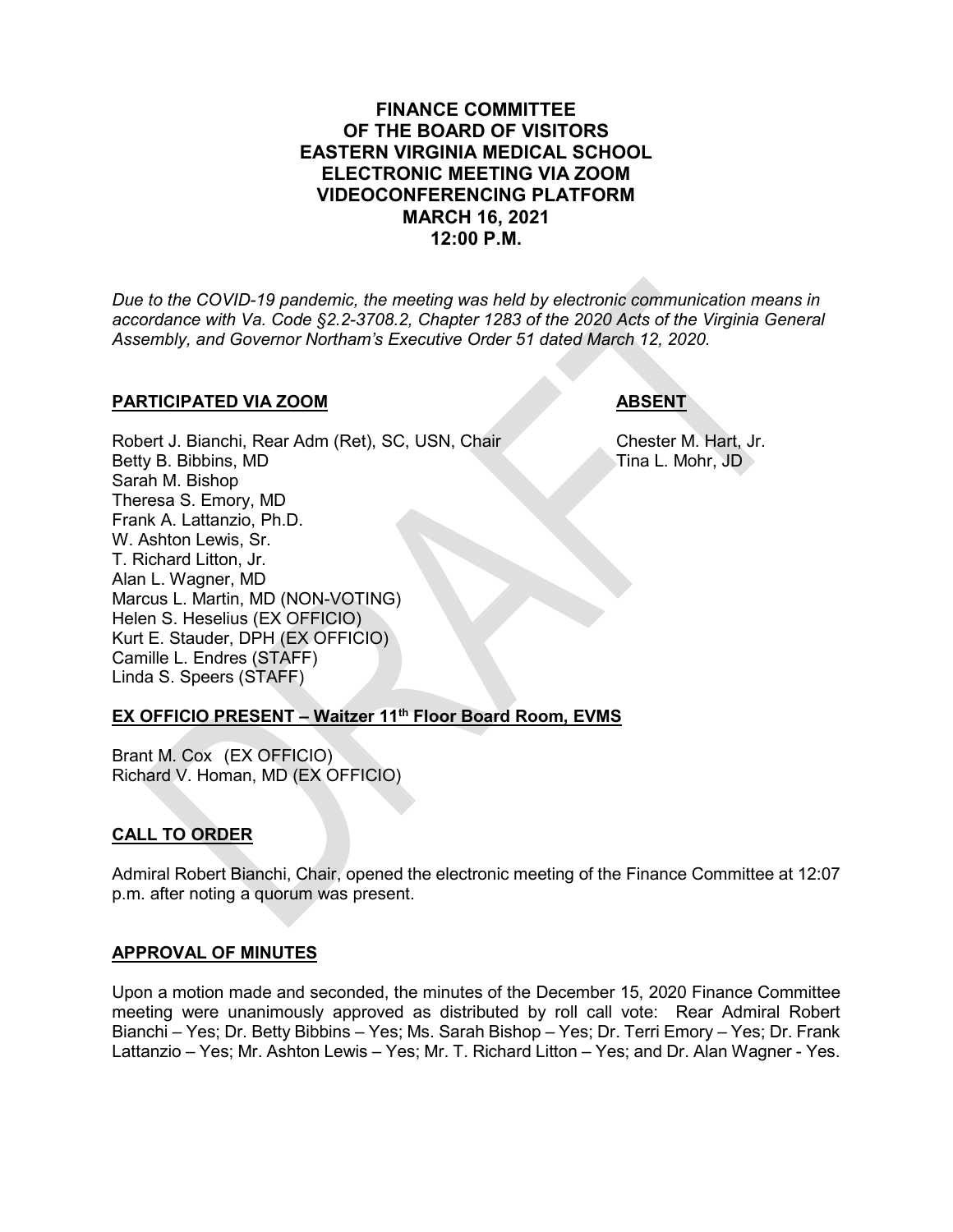# **FINANCE COMMITTEE OF THE BOARD OF VISITORS EASTERN VIRGINIA MEDICAL SCHOOL ELECTRONIC MEETING VIA ZOOM VIDEOCONFERENCING PLATFORM MARCH 16, 2021 12:00 P.M.**

*Due to the COVID-19 pandemic, the meeting was held by electronic communication means in accordance with Va. Code §2.2-3708.2, Chapter 1283 of the 2020 Acts of the Virginia General Assembly, and Governor Northam's Executive Order 51 dated March 12, 2020.*

### **PARTICIPATED VIA ZOOM ABSENT**

Robert J. Bianchi, Rear Adm (Ret), SC, USN, Chair Chester M. Hart, Jr.<br>Betty B. Bibbins, MD Tina L. Mohr, JD Betty B. Bibbins, MD Sarah M. Bishop Theresa S. Emory, MD Frank A. Lattanzio, Ph.D. W. Ashton Lewis, Sr. T. Richard Litton, Jr. Alan L. Wagner, MD Marcus L. Martin, MD (NON-VOTING) Helen S. Heselius (EX OFFICIO) Kurt E. Stauder, DPH (EX OFFICIO) Camille L. Endres (STAFF) Linda S. Speers (STAFF)

# **EX OFFICIO PRESENT – Waitzer 11th Floor Board Room, EVMS**

Brant M. Cox (EX OFFICIO) Richard V. Homan, MD (EX OFFICIO)

### **CALL TO ORDER**

Admiral Robert Bianchi, Chair, opened the electronic meeting of the Finance Committee at 12:07 p.m. after noting a quorum was present.

### **APPROVAL OF MINUTES**

Upon a motion made and seconded, the minutes of the December 15, 2020 Finance Committee meeting were unanimously approved as distributed by roll call vote: Rear Admiral Robert Bianchi – Yes; Dr. Betty Bibbins – Yes; Ms. Sarah Bishop – Yes; Dr. Terri Emory – Yes; Dr. Frank Lattanzio – Yes; Mr. Ashton Lewis – Yes; Mr. T. Richard Litton – Yes; and Dr. Alan Wagner - Yes.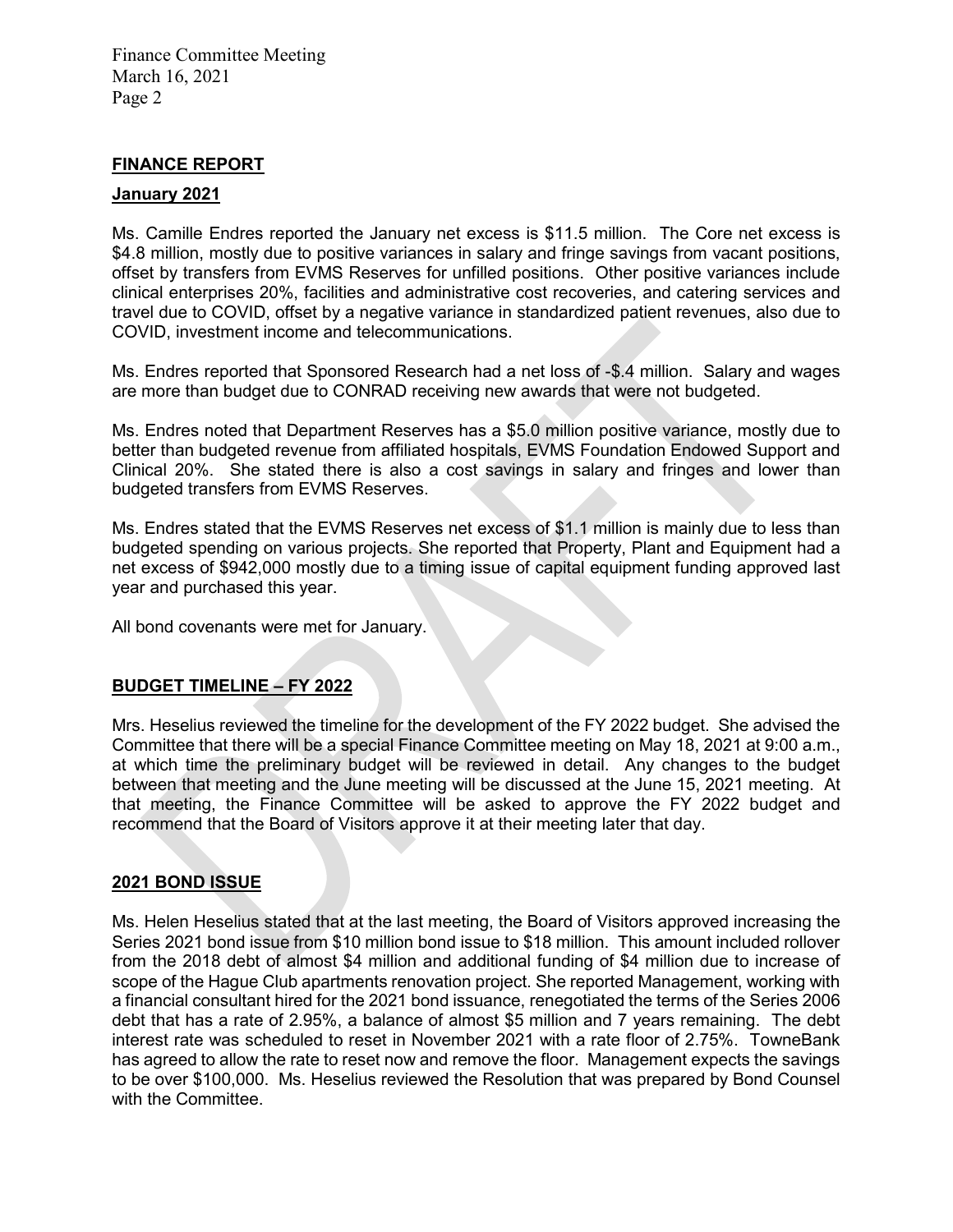#### **FINANCE REPORT**

#### **January 2021**

Ms. Camille Endres reported the January net excess is \$11.5 million. The Core net excess is \$4.8 million, mostly due to positive variances in salary and fringe savings from vacant positions, offset by transfers from EVMS Reserves for unfilled positions. Other positive variances include clinical enterprises 20%, facilities and administrative cost recoveries, and catering services and travel due to COVID, offset by a negative variance in standardized patient revenues, also due to COVID, investment income and telecommunications.

Ms. Endres reported that Sponsored Research had a net loss of -\$.4 million. Salary and wages are more than budget due to CONRAD receiving new awards that were not budgeted.

Ms. Endres noted that Department Reserves has a \$5.0 million positive variance, mostly due to better than budgeted revenue from affiliated hospitals, EVMS Foundation Endowed Support and Clinical 20%. She stated there is also a cost savings in salary and fringes and lower than budgeted transfers from EVMS Reserves.

Ms. Endres stated that the EVMS Reserves net excess of \$1.1 million is mainly due to less than budgeted spending on various projects. She reported that Property, Plant and Equipment had a net excess of \$942,000 mostly due to a timing issue of capital equipment funding approved last year and purchased this year.

All bond covenants were met for January.

#### **BUDGET TIMELINE – FY 2022**

Mrs. Heselius reviewed the timeline for the development of the FY 2022 budget. She advised the Committee that there will be a special Finance Committee meeting on May 18, 2021 at 9:00 a.m., at which time the preliminary budget will be reviewed in detail. Any changes to the budget between that meeting and the June meeting will be discussed at the June 15, 2021 meeting. At that meeting, the Finance Committee will be asked to approve the FY 2022 budget and recommend that the Board of Visitors approve it at their meeting later that day.

#### **2021 BOND ISSUE**

Ms. Helen Heselius stated that at the last meeting, the Board of Visitors approved increasing the Series 2021 bond issue from \$10 million bond issue to \$18 million. This amount included rollover from the 2018 debt of almost \$4 million and additional funding of \$4 million due to increase of scope of the Hague Club apartments renovation project. She reported Management, working with a financial consultant hired for the 2021 bond issuance, renegotiated the terms of the Series 2006 debt that has a rate of 2.95%, a balance of almost \$5 million and 7 years remaining. The debt interest rate was scheduled to reset in November 2021 with a rate floor of 2.75%. TowneBank has agreed to allow the rate to reset now and remove the floor. Management expects the savings to be over \$100,000. Ms. Heselius reviewed the Resolution that was prepared by Bond Counsel with the Committee.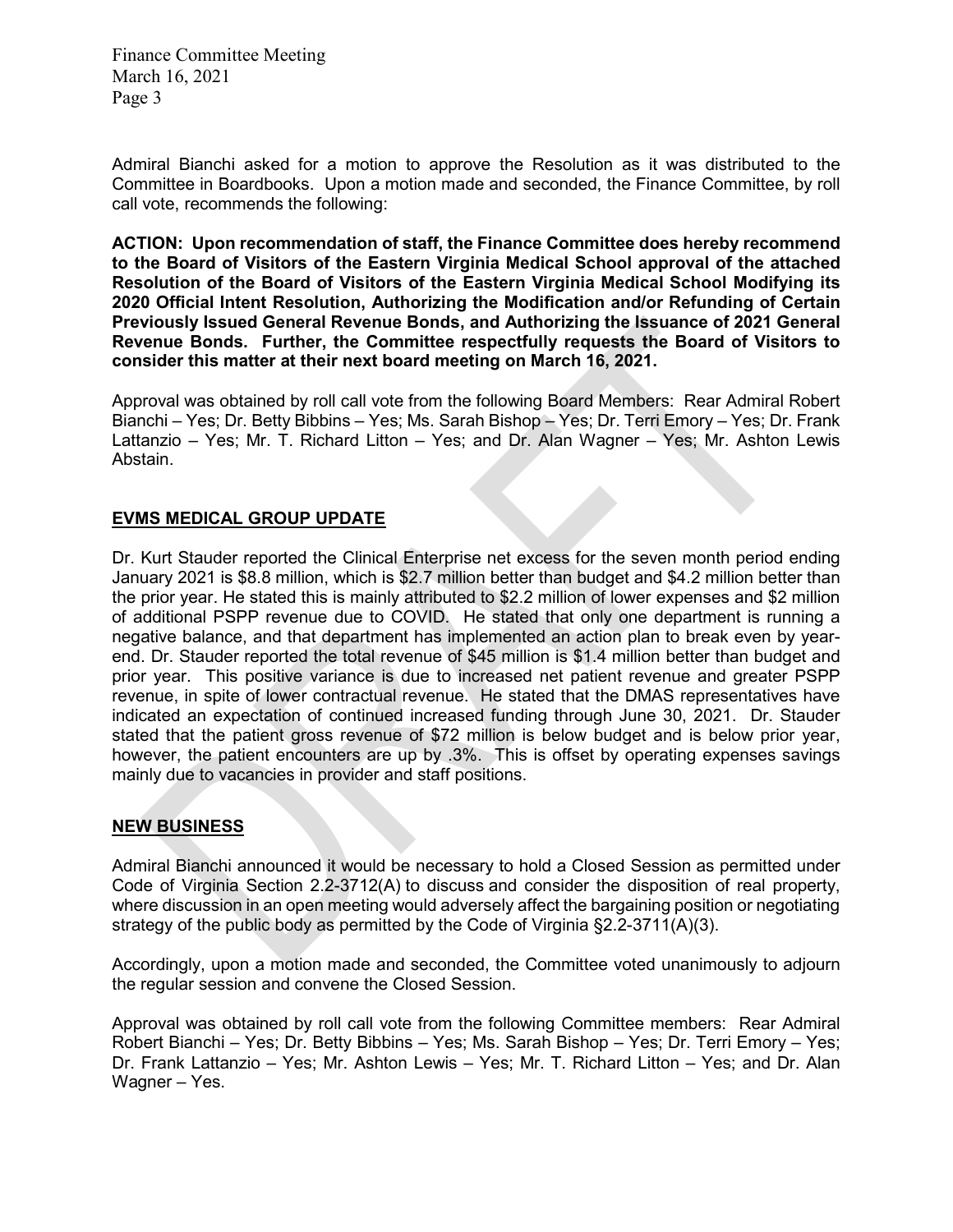Admiral Bianchi asked for a motion to approve the Resolution as it was distributed to the Committee in Boardbooks. Upon a motion made and seconded, the Finance Committee, by roll call vote, recommends the following:

**ACTION: Upon recommendation of staff, the Finance Committee does hereby recommend to the Board of Visitors of the Eastern Virginia Medical School approval of the attached Resolution of the Board of Visitors of the Eastern Virginia Medical School Modifying its 2020 Official Intent Resolution, Authorizing the Modification and/or Refunding of Certain Previously Issued General Revenue Bonds, and Authorizing the Issuance of 2021 General Revenue Bonds. Further, the Committee respectfully requests the Board of Visitors to consider this matter at their next board meeting on March 16, 2021.**

Approval was obtained by roll call vote from the following Board Members: Rear Admiral Robert Bianchi – Yes; Dr. Betty Bibbins – Yes; Ms. Sarah Bishop – Yes; Dr. Terri Emory – Yes; Dr. Frank Lattanzio – Yes; Mr. T. Richard Litton – Yes; and Dr. Alan Wagner – Yes; Mr. Ashton Lewis Abstain.

### **EVMS MEDICAL GROUP UPDATE**

Dr. Kurt Stauder reported the Clinical Enterprise net excess for the seven month period ending January 2021 is \$8.8 million, which is \$2.7 million better than budget and \$4.2 million better than the prior year. He stated this is mainly attributed to \$2.2 million of lower expenses and \$2 million of additional PSPP revenue due to COVID. He stated that only one department is running a negative balance, and that department has implemented an action plan to break even by yearend. Dr. Stauder reported the total revenue of \$45 million is \$1.4 million better than budget and prior year. This positive variance is due to increased net patient revenue and greater PSPP revenue, in spite of lower contractual revenue. He stated that the DMAS representatives have indicated an expectation of continued increased funding through June 30, 2021. Dr. Stauder stated that the patient gross revenue of \$72 million is below budget and is below prior year, however, the patient encounters are up by .3%. This is offset by operating expenses savings mainly due to vacancies in provider and staff positions.

### **NEW BUSINESS**

Admiral Bianchi announced it would be necessary to hold a Closed Session as permitted under Code of Virginia Section 2.2-3712(A) to discuss and consider the disposition of real property, where discussion in an open meeting would adversely affect the bargaining position or negotiating strategy of the public body as permitted by the Code of Virginia §2.2-3711(A)(3).

Accordingly, upon a motion made and seconded, the Committee voted unanimously to adjourn the regular session and convene the Closed Session.

Approval was obtained by roll call vote from the following Committee members: Rear Admiral Robert Bianchi – Yes; Dr. Betty Bibbins – Yes; Ms. Sarah Bishop – Yes; Dr. Terri Emory – Yes; Dr. Frank Lattanzio – Yes; Mr. Ashton Lewis – Yes; Mr. T. Richard Litton – Yes; and Dr. Alan Wagner – Yes.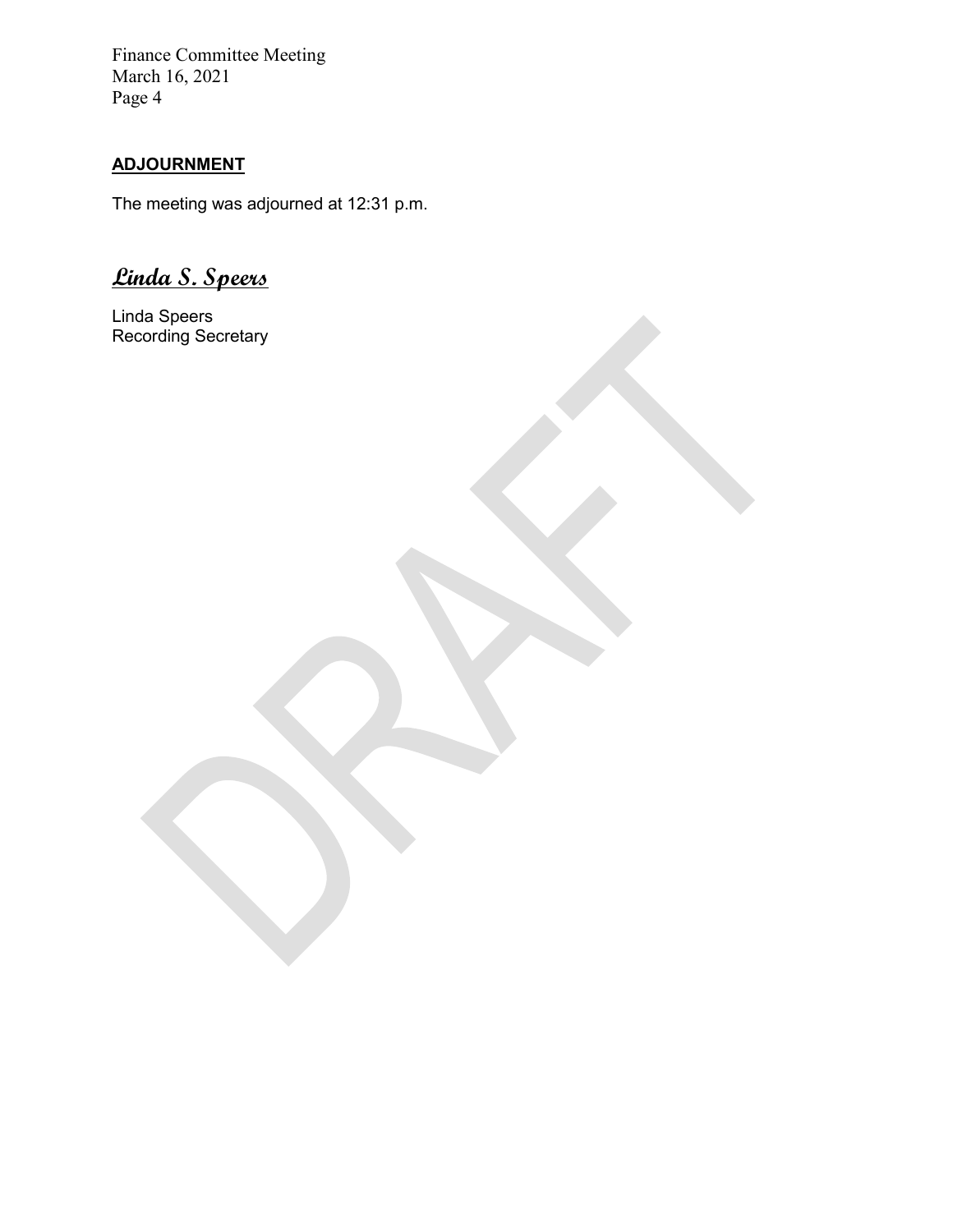# **ADJOURNMENT**

The meeting was adjourned at 12:31 p.m.

**Linda S. Speers**

Linda Speers Recording Secretary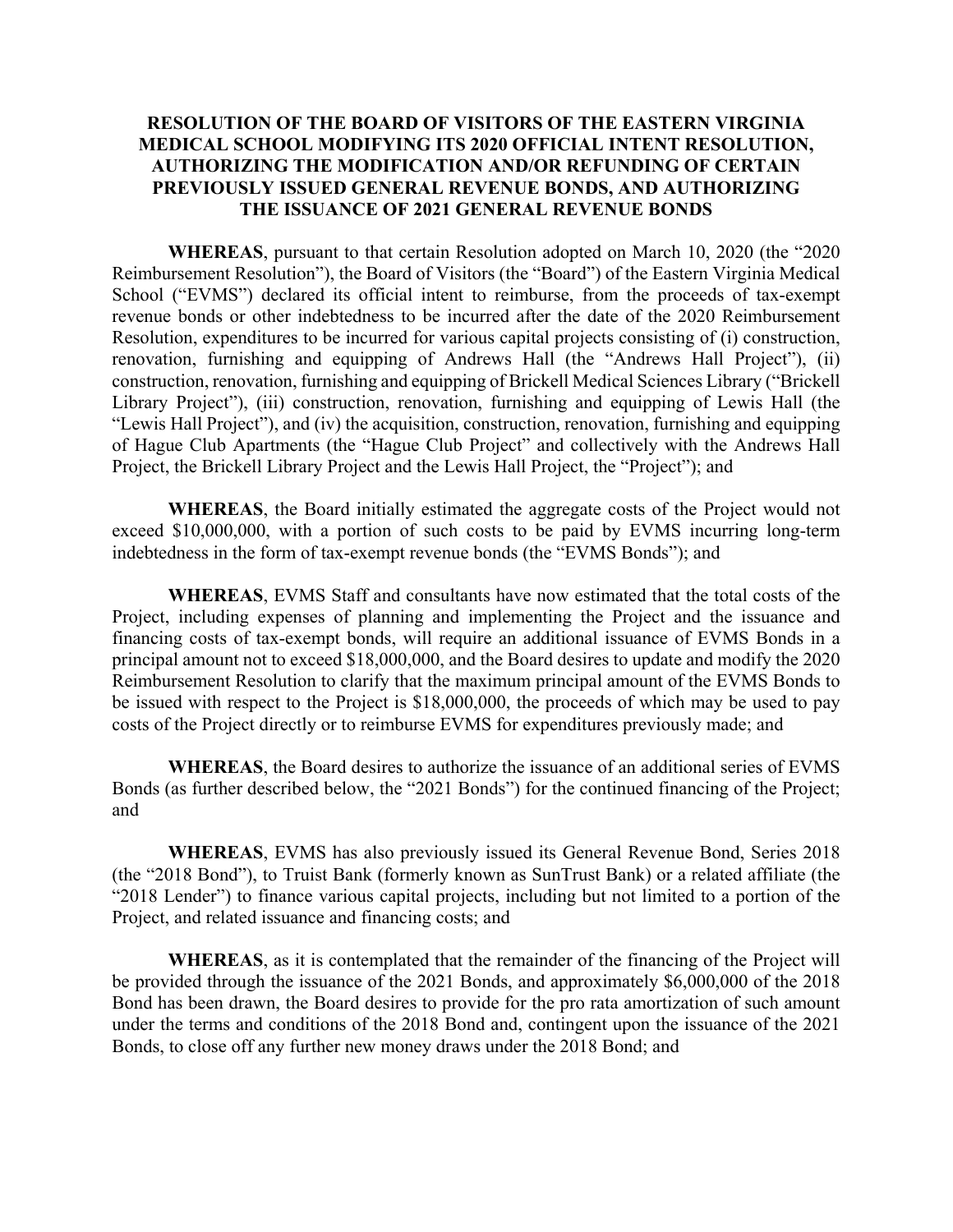## **RESOLUTION OF THE BOARD OF VISITORS OF THE EASTERN VIRGINIA MEDICAL SCHOOL MODIFYING ITS 2020 OFFICIAL INTENT RESOLUTION, AUTHORIZING THE MODIFICATION AND/OR REFUNDING OF CERTAIN PREVIOUSLY ISSUED GENERAL REVENUE BONDS, AND AUTHORIZING THE ISSUANCE OF 2021 GENERAL REVENUE BONDS**

**WHEREAS**, pursuant to that certain Resolution adopted on March 10, 2020 (the "2020 Reimbursement Resolution"), the Board of Visitors (the "Board") of the Eastern Virginia Medical School ("EVMS") declared its official intent to reimburse, from the proceeds of tax-exempt revenue bonds or other indebtedness to be incurred after the date of the 2020 Reimbursement Resolution, expenditures to be incurred for various capital projects consisting of (i) construction, renovation, furnishing and equipping of Andrews Hall (the "Andrews Hall Project"), (ii) construction, renovation, furnishing and equipping of Brickell Medical Sciences Library ("Brickell Library Project"), (iii) construction, renovation, furnishing and equipping of Lewis Hall (the "Lewis Hall Project"), and (iv) the acquisition, construction, renovation, furnishing and equipping of Hague Club Apartments (the "Hague Club Project" and collectively with the Andrews Hall Project, the Brickell Library Project and the Lewis Hall Project, the "Project"); and

**WHEREAS**, the Board initially estimated the aggregate costs of the Project would not exceed \$10,000,000, with a portion of such costs to be paid by EVMS incurring long-term indebtedness in the form of tax-exempt revenue bonds (the "EVMS Bonds"); and

**WHEREAS**, EVMS Staff and consultants have now estimated that the total costs of the Project, including expenses of planning and implementing the Project and the issuance and financing costs of tax-exempt bonds, will require an additional issuance of EVMS Bonds in a principal amount not to exceed \$18,000,000, and the Board desires to update and modify the 2020 Reimbursement Resolution to clarify that the maximum principal amount of the EVMS Bonds to be issued with respect to the Project is \$18,000,000, the proceeds of which may be used to pay costs of the Project directly or to reimburse EVMS for expenditures previously made; and

**WHEREAS**, the Board desires to authorize the issuance of an additional series of EVMS Bonds (as further described below, the "2021 Bonds") for the continued financing of the Project; and

**WHEREAS**, EVMS has also previously issued its General Revenue Bond, Series 2018 (the "2018 Bond"), to Truist Bank (formerly known as SunTrust Bank) or a related affiliate (the "2018 Lender") to finance various capital projects, including but not limited to a portion of the Project, and related issuance and financing costs; and

**WHEREAS**, as it is contemplated that the remainder of the financing of the Project will be provided through the issuance of the 2021 Bonds, and approximately \$6,000,000 of the 2018 Bond has been drawn, the Board desires to provide for the pro rata amortization of such amount under the terms and conditions of the 2018 Bond and, contingent upon the issuance of the 2021 Bonds, to close off any further new money draws under the 2018 Bond; and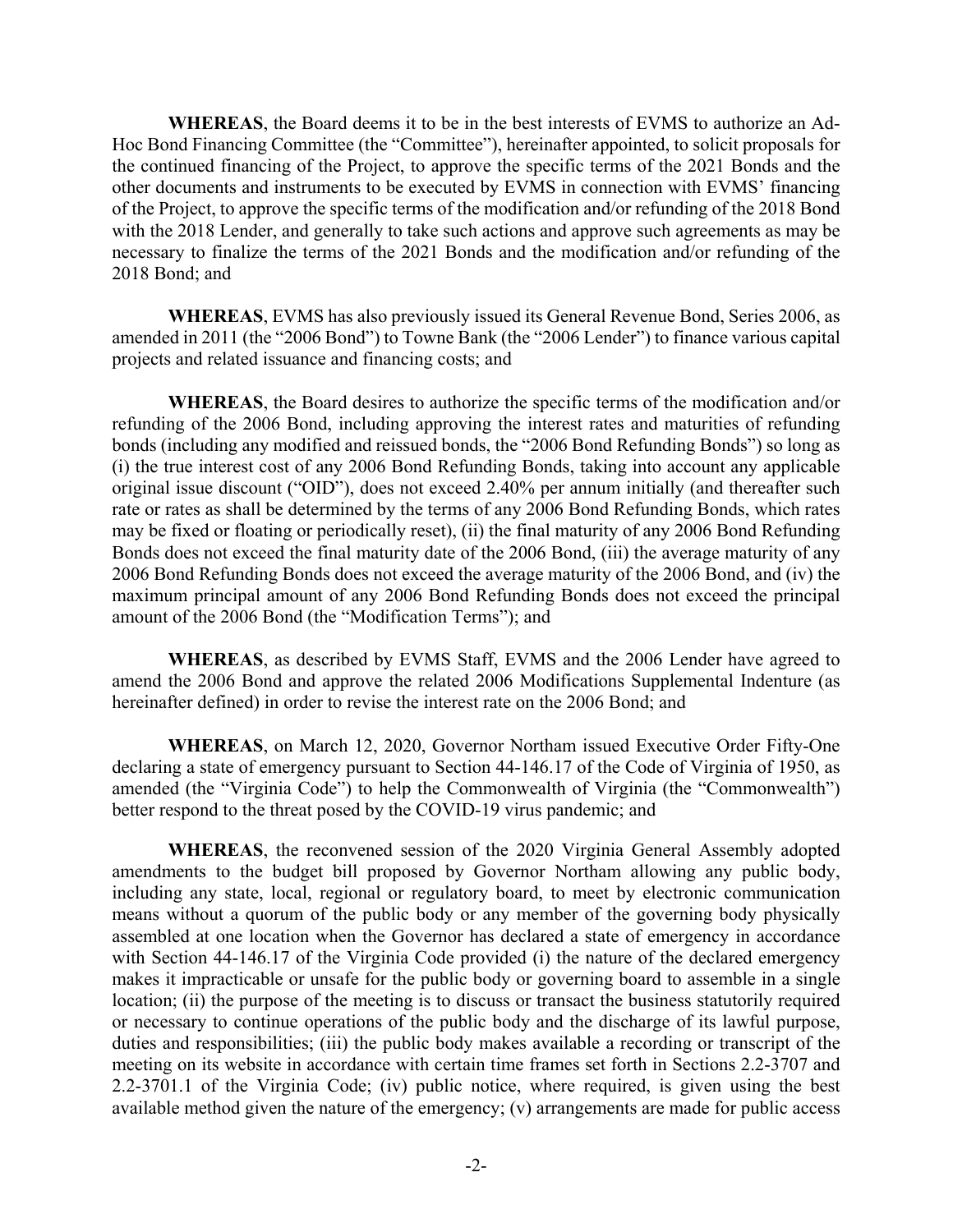**WHEREAS**, the Board deems it to be in the best interests of EVMS to authorize an Ad-Hoc Bond Financing Committee (the "Committee"), hereinafter appointed, to solicit proposals for the continued financing of the Project, to approve the specific terms of the 2021 Bonds and the other documents and instruments to be executed by EVMS in connection with EVMS' financing of the Project, to approve the specific terms of the modification and/or refunding of the 2018 Bond with the 2018 Lender, and generally to take such actions and approve such agreements as may be necessary to finalize the terms of the 2021 Bonds and the modification and/or refunding of the 2018 Bond; and

**WHEREAS**, EVMS has also previously issued its General Revenue Bond, Series 2006, as amended in 2011 (the "2006 Bond") to Towne Bank (the "2006 Lender") to finance various capital projects and related issuance and financing costs; and

**WHEREAS**, the Board desires to authorize the specific terms of the modification and/or refunding of the 2006 Bond, including approving the interest rates and maturities of refunding bonds (including any modified and reissued bonds, the "2006 Bond Refunding Bonds") so long as (i) the true interest cost of any 2006 Bond Refunding Bonds, taking into account any applicable original issue discount ("OID"), does not exceed 2.40% per annum initially (and thereafter such rate or rates as shall be determined by the terms of any 2006 Bond Refunding Bonds, which rates may be fixed or floating or periodically reset), (ii) the final maturity of any 2006 Bond Refunding Bonds does not exceed the final maturity date of the 2006 Bond, (iii) the average maturity of any 2006 Bond Refunding Bonds does not exceed the average maturity of the 2006 Bond, and (iv) the maximum principal amount of any 2006 Bond Refunding Bonds does not exceed the principal amount of the 2006 Bond (the "Modification Terms"); and

**WHEREAS**, as described by EVMS Staff, EVMS and the 2006 Lender have agreed to amend the 2006 Bond and approve the related 2006 Modifications Supplemental Indenture (as hereinafter defined) in order to revise the interest rate on the 2006 Bond; and

**WHEREAS**, on March 12, 2020, Governor Northam issued Executive Order Fifty-One declaring a state of emergency pursuant to Section 44-146.17 of the Code of Virginia of 1950, as amended (the "Virginia Code") to help the Commonwealth of Virginia (the "Commonwealth") better respond to the threat posed by the COVID-19 virus pandemic; and

**WHEREAS**, the reconvened session of the 2020 Virginia General Assembly adopted amendments to the budget bill proposed by Governor Northam allowing any public body, including any state, local, regional or regulatory board, to meet by electronic communication means without a quorum of the public body or any member of the governing body physically assembled at one location when the Governor has declared a state of emergency in accordance with Section 44-146.17 of the Virginia Code provided (i) the nature of the declared emergency makes it impracticable or unsafe for the public body or governing board to assemble in a single location; (ii) the purpose of the meeting is to discuss or transact the business statutorily required or necessary to continue operations of the public body and the discharge of its lawful purpose, duties and responsibilities; (iii) the public body makes available a recording or transcript of the meeting on its website in accordance with certain time frames set forth in Sections 2.2-3707 and 2.2-3701.1 of the Virginia Code; (iv) public notice, where required, is given using the best available method given the nature of the emergency; (v) arrangements are made for public access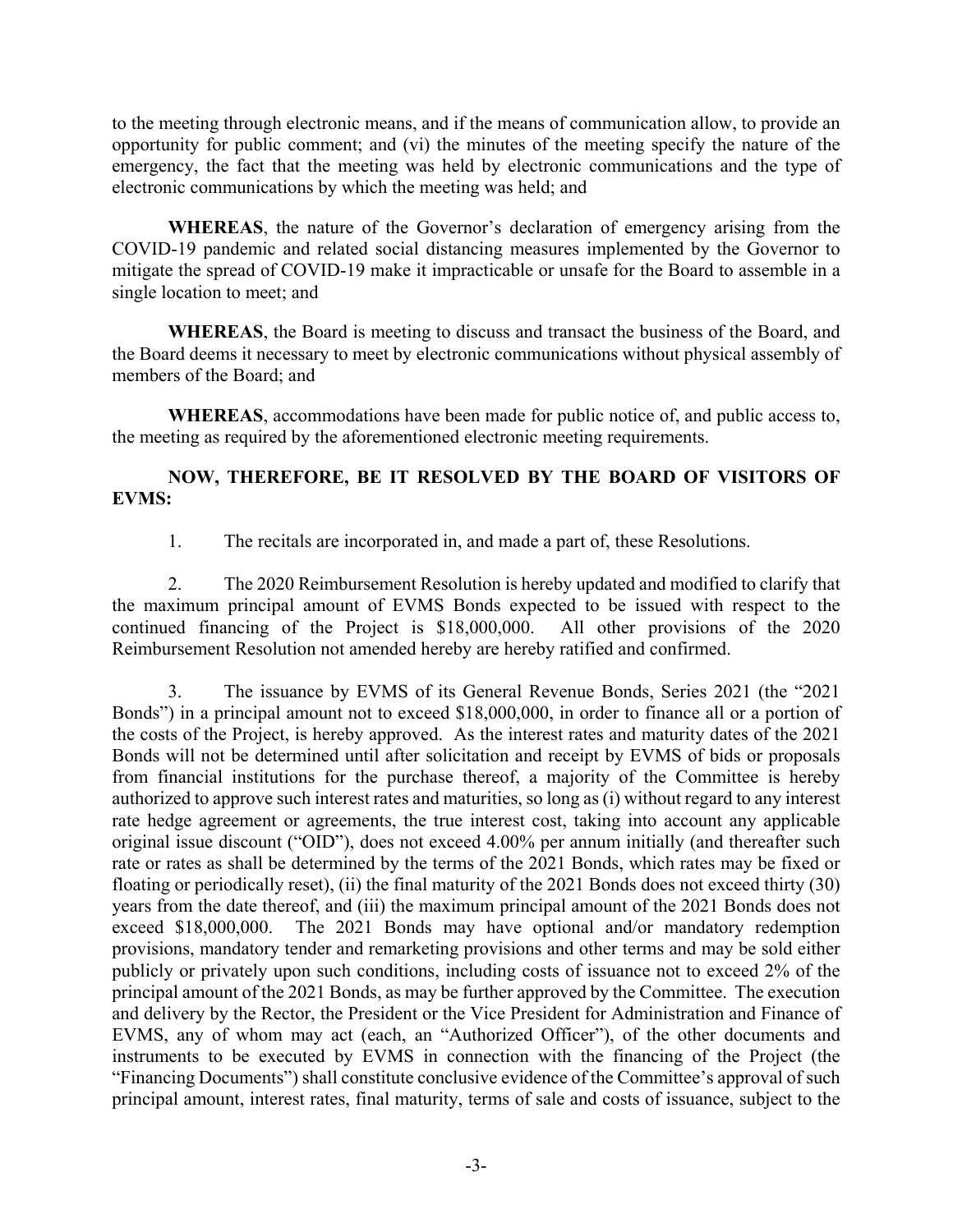to the meeting through electronic means, and if the means of communication allow, to provide an opportunity for public comment; and (vi) the minutes of the meeting specify the nature of the emergency, the fact that the meeting was held by electronic communications and the type of electronic communications by which the meeting was held; and

**WHEREAS**, the nature of the Governor's declaration of emergency arising from the COVID-19 pandemic and related social distancing measures implemented by the Governor to mitigate the spread of COVID-19 make it impracticable or unsafe for the Board to assemble in a single location to meet; and

**WHEREAS**, the Board is meeting to discuss and transact the business of the Board, and the Board deems it necessary to meet by electronic communications without physical assembly of members of the Board; and

**WHEREAS**, accommodations have been made for public notice of, and public access to, the meeting as required by the aforementioned electronic meeting requirements.

# **NOW, THEREFORE, BE IT RESOLVED BY THE BOARD OF VISITORS OF EVMS:**

1. The recitals are incorporated in, and made a part of, these Resolutions.

2. The 2020 Reimbursement Resolution is hereby updated and modified to clarify that the maximum principal amount of EVMS Bonds expected to be issued with respect to the continued financing of the Project is \$18,000,000. All other provisions of the 2020 Reimbursement Resolution not amended hereby are hereby ratified and confirmed.

3. The issuance by EVMS of its General Revenue Bonds, Series 2021 (the "2021 Bonds") in a principal amount not to exceed \$18,000,000, in order to finance all or a portion of the costs of the Project, is hereby approved. As the interest rates and maturity dates of the 2021 Bonds will not be determined until after solicitation and receipt by EVMS of bids or proposals from financial institutions for the purchase thereof, a majority of the Committee is hereby authorized to approve such interest rates and maturities, so long as (i) without regard to any interest rate hedge agreement or agreements, the true interest cost, taking into account any applicable original issue discount ("OID"), does not exceed 4.00% per annum initially (and thereafter such rate or rates as shall be determined by the terms of the 2021 Bonds, which rates may be fixed or floating or periodically reset), (ii) the final maturity of the 2021 Bonds does not exceed thirty (30) years from the date thereof, and (iii) the maximum principal amount of the 2021 Bonds does not exceed \$18,000,000. The 2021 Bonds may have optional and/or mandatory redemption provisions, mandatory tender and remarketing provisions and other terms and may be sold either publicly or privately upon such conditions, including costs of issuance not to exceed 2% of the principal amount of the 2021 Bonds, as may be further approved by the Committee. The execution and delivery by the Rector, the President or the Vice President for Administration and Finance of EVMS, any of whom may act (each, an "Authorized Officer"), of the other documents and instruments to be executed by EVMS in connection with the financing of the Project (the "Financing Documents") shall constitute conclusive evidence of the Committee's approval of such principal amount, interest rates, final maturity, terms of sale and costs of issuance, subject to the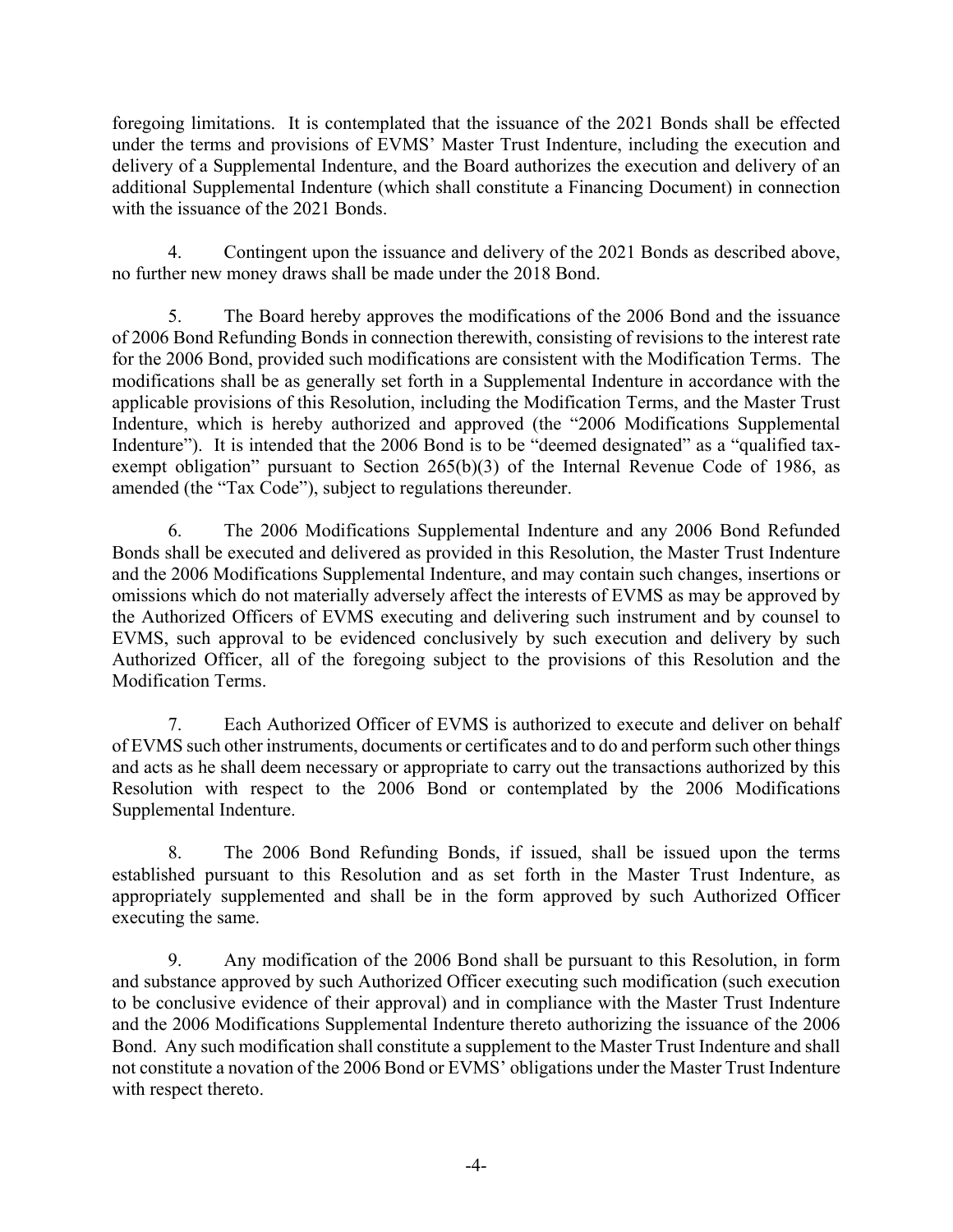foregoing limitations. It is contemplated that the issuance of the 2021 Bonds shall be effected under the terms and provisions of EVMS' Master Trust Indenture, including the execution and delivery of a Supplemental Indenture, and the Board authorizes the execution and delivery of an additional Supplemental Indenture (which shall constitute a Financing Document) in connection with the issuance of the 2021 Bonds.

4. Contingent upon the issuance and delivery of the 2021 Bonds as described above, no further new money draws shall be made under the 2018 Bond.

5. The Board hereby approves the modifications of the 2006 Bond and the issuance of 2006 Bond Refunding Bonds in connection therewith, consisting of revisions to the interest rate for the 2006 Bond, provided such modifications are consistent with the Modification Terms. The modifications shall be as generally set forth in a Supplemental Indenture in accordance with the applicable provisions of this Resolution, including the Modification Terms, and the Master Trust Indenture, which is hereby authorized and approved (the "2006 Modifications Supplemental Indenture"). It is intended that the 2006 Bond is to be "deemed designated" as a "qualified taxexempt obligation" pursuant to Section 265(b)(3) of the Internal Revenue Code of 1986, as amended (the "Tax Code"), subject to regulations thereunder.

6. The 2006 Modifications Supplemental Indenture and any 2006 Bond Refunded Bonds shall be executed and delivered as provided in this Resolution, the Master Trust Indenture and the 2006 Modifications Supplemental Indenture, and may contain such changes, insertions or omissions which do not materially adversely affect the interests of EVMS as may be approved by the Authorized Officers of EVMS executing and delivering such instrument and by counsel to EVMS, such approval to be evidenced conclusively by such execution and delivery by such Authorized Officer, all of the foregoing subject to the provisions of this Resolution and the Modification Terms.

7. Each Authorized Officer of EVMS is authorized to execute and deliver on behalf of EVMS such other instruments, documents or certificates and to do and perform such other things and acts as he shall deem necessary or appropriate to carry out the transactions authorized by this Resolution with respect to the 2006 Bond or contemplated by the 2006 Modifications Supplemental Indenture.

8. The 2006 Bond Refunding Bonds, if issued, shall be issued upon the terms established pursuant to this Resolution and as set forth in the Master Trust Indenture, as appropriately supplemented and shall be in the form approved by such Authorized Officer executing the same.

9. Any modification of the 2006 Bond shall be pursuant to this Resolution, in form and substance approved by such Authorized Officer executing such modification (such execution to be conclusive evidence of their approval) and in compliance with the Master Trust Indenture and the 2006 Modifications Supplemental Indenture thereto authorizing the issuance of the 2006 Bond. Any such modification shall constitute a supplement to the Master Trust Indenture and shall not constitute a novation of the 2006 Bond or EVMS' obligations under the Master Trust Indenture with respect thereto.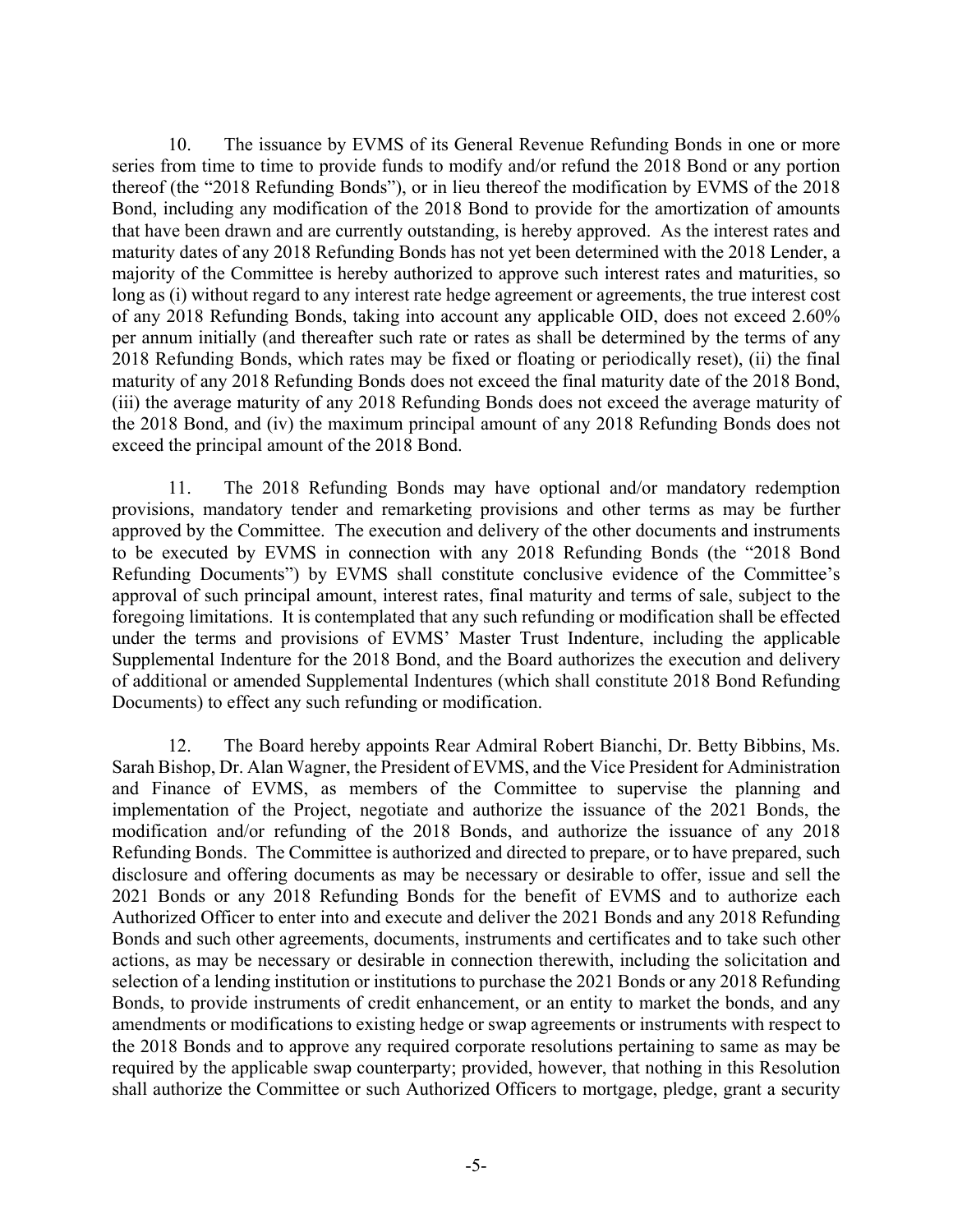10. The issuance by EVMS of its General Revenue Refunding Bonds in one or more series from time to time to provide funds to modify and/or refund the 2018 Bond or any portion thereof (the "2018 Refunding Bonds"), or in lieu thereof the modification by EVMS of the 2018 Bond, including any modification of the 2018 Bond to provide for the amortization of amounts that have been drawn and are currently outstanding, is hereby approved. As the interest rates and maturity dates of any 2018 Refunding Bonds has not yet been determined with the 2018 Lender, a majority of the Committee is hereby authorized to approve such interest rates and maturities, so long as (i) without regard to any interest rate hedge agreement or agreements, the true interest cost of any 2018 Refunding Bonds, taking into account any applicable OID, does not exceed 2.60% per annum initially (and thereafter such rate or rates as shall be determined by the terms of any 2018 Refunding Bonds, which rates may be fixed or floating or periodically reset), (ii) the final maturity of any 2018 Refunding Bonds does not exceed the final maturity date of the 2018 Bond, (iii) the average maturity of any 2018 Refunding Bonds does not exceed the average maturity of the 2018 Bond, and (iv) the maximum principal amount of any 2018 Refunding Bonds does not exceed the principal amount of the 2018 Bond.

11. The 2018 Refunding Bonds may have optional and/or mandatory redemption provisions, mandatory tender and remarketing provisions and other terms as may be further approved by the Committee. The execution and delivery of the other documents and instruments to be executed by EVMS in connection with any 2018 Refunding Bonds (the "2018 Bond Refunding Documents") by EVMS shall constitute conclusive evidence of the Committee's approval of such principal amount, interest rates, final maturity and terms of sale, subject to the foregoing limitations. It is contemplated that any such refunding or modification shall be effected under the terms and provisions of EVMS' Master Trust Indenture, including the applicable Supplemental Indenture for the 2018 Bond, and the Board authorizes the execution and delivery of additional or amended Supplemental Indentures (which shall constitute 2018 Bond Refunding Documents) to effect any such refunding or modification.

12. The Board hereby appoints Rear Admiral Robert Bianchi, Dr. Betty Bibbins, Ms. Sarah Bishop, Dr. Alan Wagner, the President of EVMS, and the Vice President for Administration and Finance of EVMS, as members of the Committee to supervise the planning and implementation of the Project, negotiate and authorize the issuance of the 2021 Bonds, the modification and/or refunding of the 2018 Bonds, and authorize the issuance of any 2018 Refunding Bonds. The Committee is authorized and directed to prepare, or to have prepared, such disclosure and offering documents as may be necessary or desirable to offer, issue and sell the 2021 Bonds or any 2018 Refunding Bonds for the benefit of EVMS and to authorize each Authorized Officer to enter into and execute and deliver the 2021 Bonds and any 2018 Refunding Bonds and such other agreements, documents, instruments and certificates and to take such other actions, as may be necessary or desirable in connection therewith, including the solicitation and selection of a lending institution or institutions to purchase the 2021 Bonds or any 2018 Refunding Bonds, to provide instruments of credit enhancement, or an entity to market the bonds, and any amendments or modifications to existing hedge or swap agreements or instruments with respect to the 2018 Bonds and to approve any required corporate resolutions pertaining to same as may be required by the applicable swap counterparty; provided, however, that nothing in this Resolution shall authorize the Committee or such Authorized Officers to mortgage, pledge, grant a security